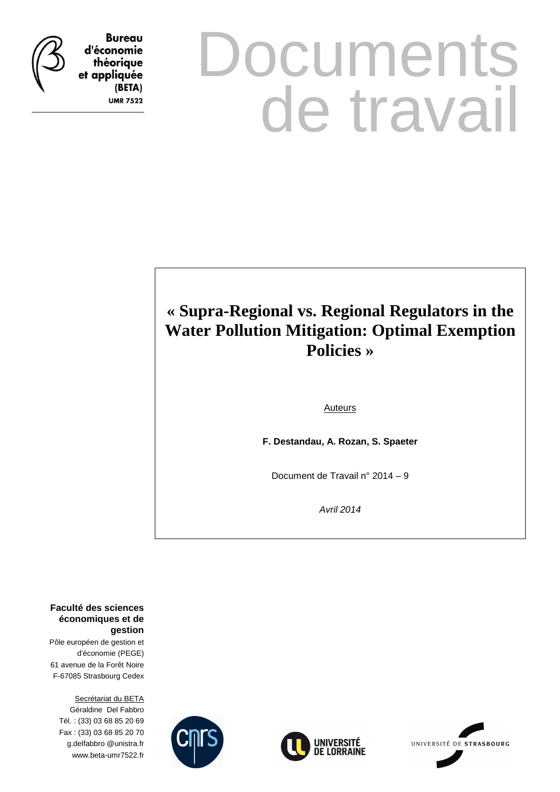

**Bureau** d'économie théorique et appliquée (BETA) **UMR 7522** 

# **Documents** de travail

## **« Supra-Regional vs. Regional Regulators in the Water Pollution Mitigation: Optimal Exemption Policies »**

Auteurs

**F. Destandau, A. Rozan, S. Spaeter** 

Document de Travail n° 2014 – 9

Avril 2014

**Faculté des sciences économiques et de gestion**

Pôle européen de gestion et d'économie (PEGE) 61 avenue de la Forêt Noire F-67085 Strasbourg Cedex

Secrétariat du BETA Géraldine Del Fabbro Tél. : (33) 03 68 85 20 69 Fax : (33) 03 68 85 20 70 g.delfabbro @unistra.fr www.beta-umr7522.fr





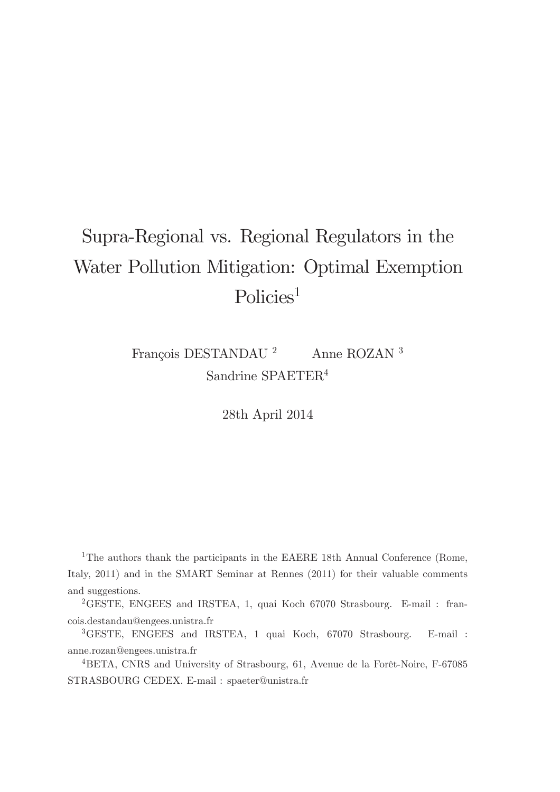# Supra-Regional vs. Regional Regulators in the Water Pollution Mitigation: Optimal Exemption Policies<sup>1</sup>

François DESTANDAU $^2$   $\,$  Anne ROZAN  $^3$ Sandrine SPAETER<sup>4</sup>

28th April 2014

<sup>1</sup>The authors thank the participants in the EAERE 18th Annual Conference (Rome, Italy, 2011) and in the SMART Seminar at Rennes (2011) for their valuable comments and suggestions.

<sup>2</sup>GESTE, ENGEES and IRSTEA, 1, quai Koch 67070 Strasbourg. E-mail : francois.destandau@engees.unistra.fr

<sup>3</sup>GESTE, ENGEES and IRSTEA, 1 quai Koch, 67070 Strasbourg. E-mail : anne.rozan@engees.unistra.fr

 ${}^{4}$ BETA, CNRS and University of Strasbourg, 61, Avenue de la Forêt-Noire, F-67085 STRASBOURG CEDEX. E-mail : spaeter@unistra.fr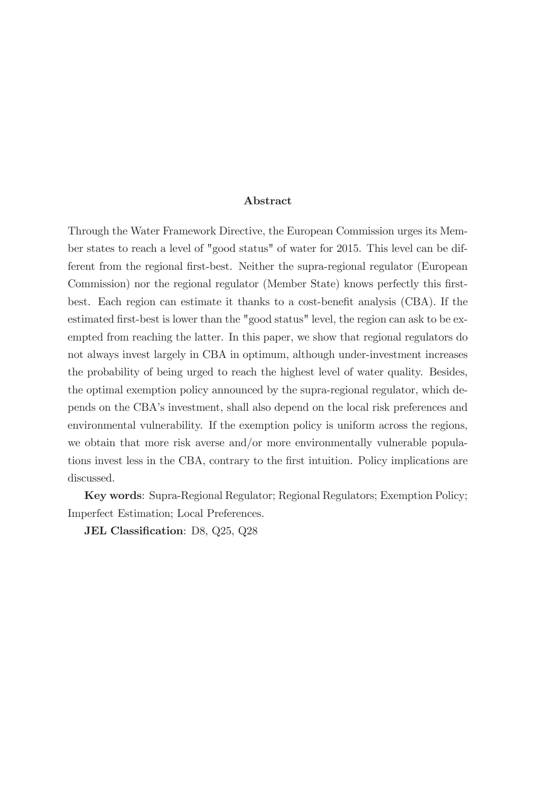#### Abstract

Through the Water Framework Directive, the European Commission urges its Member states to reach a level of "good status" of water for 2015. This level can be different from the regional first-best. Neither the supra-regional regulator (European Commission) nor the regional regulator (Member State) knows perfectly this firstbest. Each region can estimate it thanks to a cost-benefit analysis (CBA). If the estimated Örst-best is lower than the "good status" level, the region can ask to be exempted from reaching the latter. In this paper, we show that regional regulators do not always invest largely in CBA in optimum, although under-investment increases the probability of being urged to reach the highest level of water quality. Besides, the optimal exemption policy announced by the supra-regional regulator, which depends on the CBAís investment, shall also depend on the local risk preferences and environmental vulnerability. If the exemption policy is uniform across the regions, we obtain that more risk averse and/or more environmentally vulnerable populations invest less in the CBA, contrary to the first intuition. Policy implications are discussed.

Key words: Supra-Regional Regulator; Regional Regulators; Exemption Policy; Imperfect Estimation; Local Preferences.

JEL Classification: D8, Q25, Q28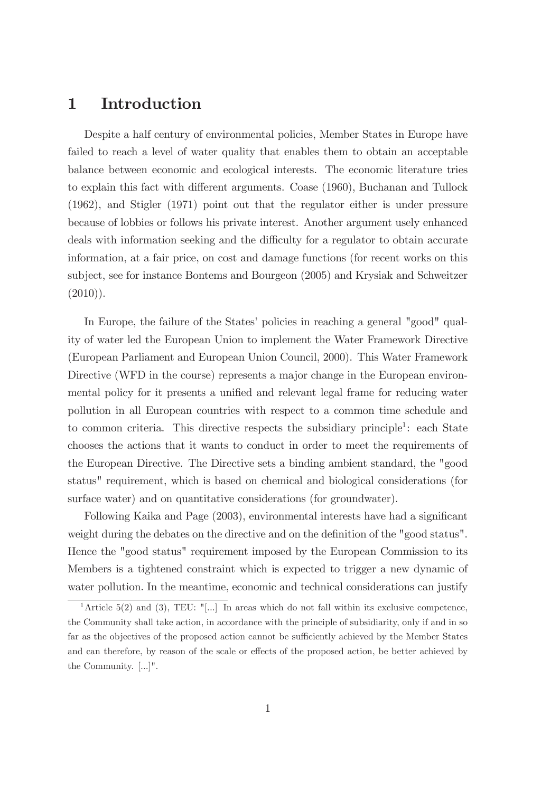## 1 Introduction

Despite a half century of environmental policies, Member States in Europe have failed to reach a level of water quality that enables them to obtain an acceptable balance between economic and ecological interests. The economic literature tries to explain this fact with different arguments. Coase (1960), Buchanan and Tullock (1962), and Stigler (1971) point out that the regulator either is under pressure because of lobbies or follows his private interest. Another argument usely enhanced deals with information seeking and the difficulty for a regulator to obtain accurate information, at a fair price, on cost and damage functions (for recent works on this subject, see for instance Bontems and Bourgeon (2005) and Krysiak and Schweitzer  $(2010)$ ).

In Europe, the failure of the States' policies in reaching a general "good" quality of water led the European Union to implement the Water Framework Directive (European Parliament and European Union Council, 2000). This Water Framework Directive (WFD in the course) represents a major change in the European environmental policy for it presents a unified and relevant legal frame for reducing water pollution in all European countries with respect to a common time schedule and to common criteria. This directive respects the subsidiary principle<sup>1</sup>: each State chooses the actions that it wants to conduct in order to meet the requirements of the European Directive. The Directive sets a binding ambient standard, the "good status" requirement, which is based on chemical and biological considerations (for surface water) and on quantitative considerations (for groundwater).

Following Kaika and Page (2003), environmental interests have had a significant weight during the debates on the directive and on the definition of the "good status". Hence the "good status" requirement imposed by the European Commission to its Members is a tightened constraint which is expected to trigger a new dynamic of water pollution. In the meantime, economic and technical considerations can justify

<sup>&</sup>lt;sup>1</sup>Article 5(2) and (3), TEU: "[...] In areas which do not fall within its exclusive competence, the Community shall take action, in accordance with the principle of subsidiarity, only if and in so far as the objectives of the proposed action cannot be sufficiently achieved by the Member States and can therefore, by reason of the scale or effects of the proposed action, be better achieved by the Community. [...]".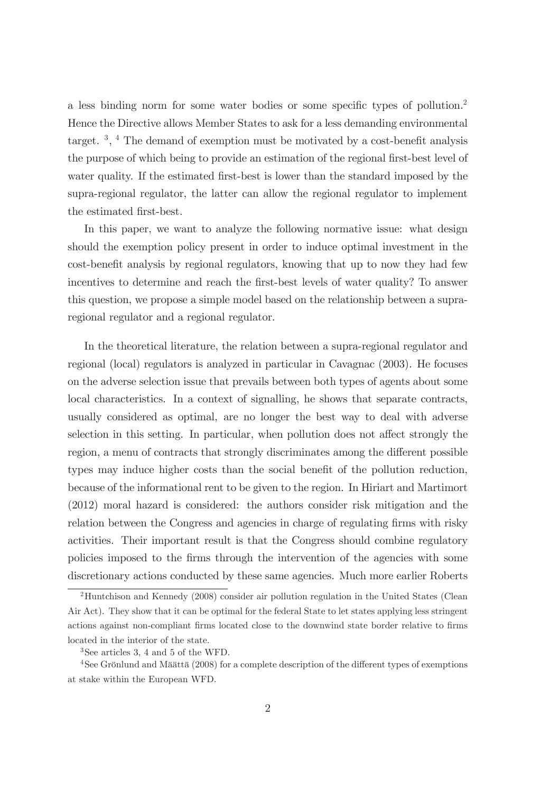a less binding norm for some water bodies or some specific types of pollution.<sup>2</sup> Hence the Directive allows Member States to ask for a less demanding environmental target.<sup>3</sup>, <sup>4</sup> The demand of exemption must be motivated by a cost-benefit analysis the purpose of which being to provide an estimation of the regional first-best level of water quality. If the estimated first-best is lower than the standard imposed by the supra-regional regulator, the latter can allow the regional regulator to implement the estimated first-best.

In this paper, we want to analyze the following normative issue: what design should the exemption policy present in order to induce optimal investment in the cost-benefit analysis by regional regulators, knowing that up to now they had few incentives to determine and reach the first-best levels of water quality? To answer this question, we propose a simple model based on the relationship between a supraregional regulator and a regional regulator.

In the theoretical literature, the relation between a supra-regional regulator and regional (local) regulators is analyzed in particular in Cavagnac (2003). He focuses on the adverse selection issue that prevails between both types of agents about some local characteristics. In a context of signalling, he shows that separate contracts, usually considered as optimal, are no longer the best way to deal with adverse selection in this setting. In particular, when pollution does not affect strongly the region, a menu of contracts that strongly discriminates among the different possible types may induce higher costs than the social benefit of the pollution reduction, because of the informational rent to be given to the region. In Hiriart and Martimort (2012) moral hazard is considered: the authors consider risk mitigation and the relation between the Congress and agencies in charge of regulating firms with risky activities. Their important result is that the Congress should combine regulatory policies imposed to the Örms through the intervention of the agencies with some discretionary actions conducted by these same agencies. Much more earlier Roberts

<sup>2</sup>Huntchison and Kennedy (2008) consider air pollution regulation in the United States (Clean Air Act). They show that it can be optimal for the federal State to let states applying less stringent actions against non-compliant firms located close to the downwind state border relative to firms located in the interior of the state.

<sup>3</sup>See articles 3, 4 and 5 of the WFD.

 $4$ See Grönlund and Määttä (2008) for a complete description of the different types of exemptions at stake within the European WFD.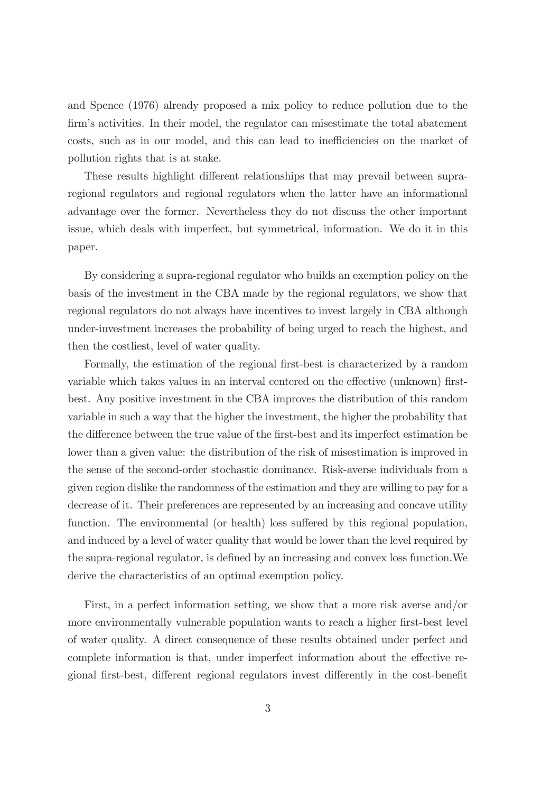and Spence (1976) already proposed a mix policy to reduce pollution due to the firm's activities. In their model, the regulator can misestimate the total abatement costs, such as in our model, and this can lead to inefficiencies on the market of pollution rights that is at stake.

These results highlight different relationships that may prevail between supraregional regulators and regional regulators when the latter have an informational advantage over the former. Nevertheless they do not discuss the other important issue, which deals with imperfect, but symmetrical, information. We do it in this paper.

By considering a supra-regional regulator who builds an exemption policy on the basis of the investment in the CBA made by the regional regulators, we show that regional regulators do not always have incentives to invest largely in CBA although under-investment increases the probability of being urged to reach the highest, and then the costliest, level of water quality.

Formally, the estimation of the regional first-best is characterized by a random variable which takes values in an interval centered on the effective (unknown) firstbest. Any positive investment in the CBA improves the distribution of this random variable in such a way that the higher the investment, the higher the probability that the difference between the true value of the first-best and its imperfect estimation be lower than a given value: the distribution of the risk of misestimation is improved in the sense of the second-order stochastic dominance. Risk-averse individuals from a given region dislike the randomness of the estimation and they are willing to pay for a decrease of it. Their preferences are represented by an increasing and concave utility function. The environmental (or health) loss suffered by this regional population, and induced by a level of water quality that would be lower than the level required by the supra-regional regulator, is defined by an increasing and convex loss function. We derive the characteristics of an optimal exemption policy.

First, in a perfect information setting, we show that a more risk averse and/or more environmentally vulnerable population wants to reach a higher first-best level of water quality. A direct consequence of these results obtained under perfect and complete information is that, under imperfect information about the effective regional first-best, different regional regulators invest differently in the cost-benefit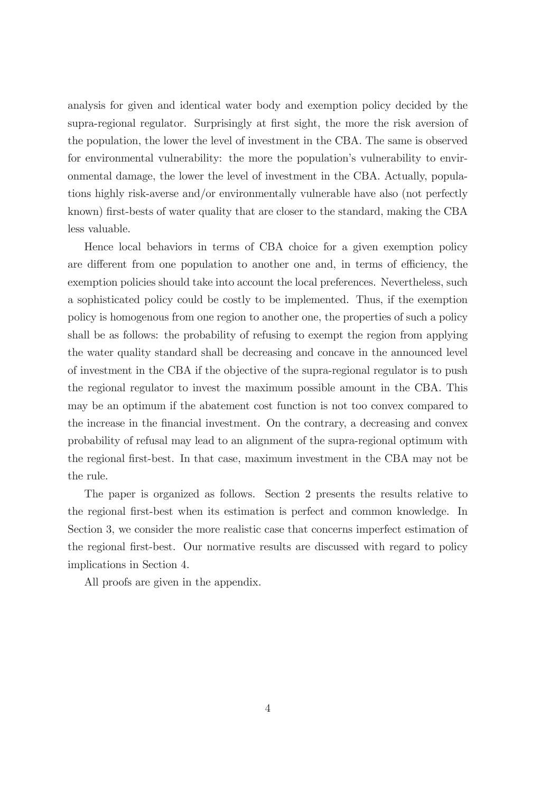analysis for given and identical water body and exemption policy decided by the supra-regional regulator. Surprisingly at first sight, the more the risk aversion of the population, the lower the level of investment in the CBA. The same is observed for environmental vulnerability: the more the population's vulnerability to environmental damage, the lower the level of investment in the CBA. Actually, populations highly risk-averse and/or environmentally vulnerable have also (not perfectly known) first-bests of water quality that are closer to the standard, making the CBA less valuable.

Hence local behaviors in terms of CBA choice for a given exemption policy are different from one population to another one and, in terms of efficiency, the exemption policies should take into account the local preferences. Nevertheless, such a sophisticated policy could be costly to be implemented. Thus, if the exemption policy is homogenous from one region to another one, the properties of such a policy shall be as follows: the probability of refusing to exempt the region from applying the water quality standard shall be decreasing and concave in the announced level of investment in the CBA if the objective of the supra-regional regulator is to push the regional regulator to invest the maximum possible amount in the CBA. This may be an optimum if the abatement cost function is not too convex compared to the increase in the Önancial investment. On the contrary, a decreasing and convex probability of refusal may lead to an alignment of the supra-regional optimum with the regional Örst-best. In that case, maximum investment in the CBA may not be the rule.

The paper is organized as follows. Section 2 presents the results relative to the regional Örst-best when its estimation is perfect and common knowledge. In Section 3, we consider the more realistic case that concerns imperfect estimation of the regional Örst-best. Our normative results are discussed with regard to policy implications in Section 4.

All proofs are given in the appendix.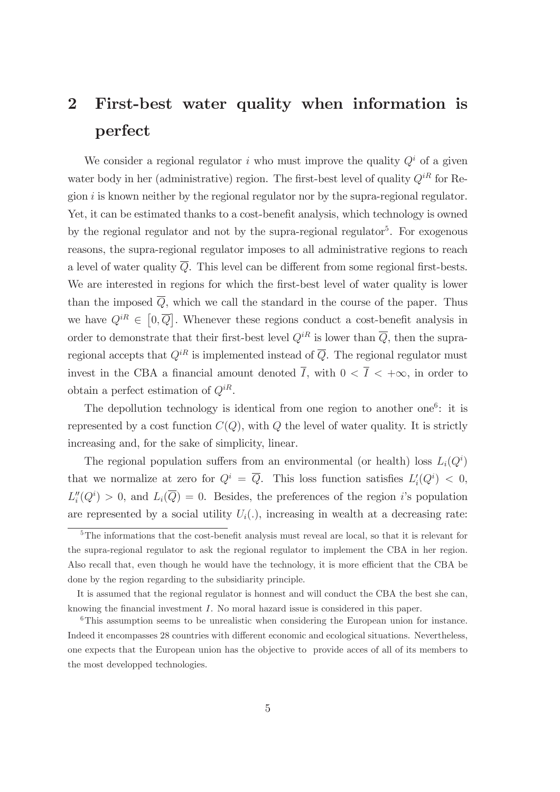## 2 First-best water quality when information is perfect

We consider a regional regulator i who must improve the quality  $Q<sup>i</sup>$  of a given water body in her (administrative) region. The first-best level of quality  $Q^{iR}$  for Region  $i$  is known neither by the regional regulator nor by the supra-regional regulator. Yet, it can be estimated thanks to a cost-benefit analysis, which technology is owned by the regional regulator and not by the supra-regional regulator<sup>5</sup>. For exogenous reasons, the supra-regional regulator imposes to all administrative regions to reach a level of water quality  $\overline{Q}$ . This level can be different from some regional first-bests. We are interested in regions for which the first-best level of water quality is lower than the imposed  $\overline{Q}$ , which we call the standard in the course of the paper. Thus we have  $Q^{iR} \in [0, \overline{Q}]$ . Whenever these regions conduct a cost-benefit analysis in order to demonstrate that their first-best level  $Q^{iR}$  is lower than  $\overline{Q}$ , then the supraregional accepts that  $Q^{iR}$  is implemented instead of  $\overline{Q}$ . The regional regulator must invest in the CBA a financial amount denoted  $\overline{I}$ , with  $0 < \overline{I} < +\infty$ , in order to obtain a perfect estimation of  $Q^{iR}$ .

The depollution technology is identical from one region to another one<sup>6</sup>: it is represented by a cost function  $C(Q)$ , with Q the level of water quality. It is strictly increasing and, for the sake of simplicity, linear.

The regional population suffers from an environmental (or health) loss  $L_i(Q^i)$ that we normalize at zero for  $Q^i = \overline{Q}$ . This loss function satisfies  $L'_i(Q^i) < 0$ ,  $L_i''(Q^i) > 0$ , and  $L_i(\overline{Q}) = 0$ . Besides, the preferences of the region i's population are represented by a social utility  $U_i(.)$ , increasing in wealth at a decreasing rate:

 $5$ The informations that the cost-benefit analysis must reveal are local, so that it is relevant for the supra-regional regulator to ask the regional regulator to implement the CBA in her region. Also recall that, even though he would have the technology, it is more efficient that the CBA be done by the region regarding to the subsidiarity principle.

It is assumed that the regional regulator is honnest and will conduct the CBA the best she can, knowing the financial investment  $I$ . No moral hazard issue is considered in this paper.

<sup>6</sup>This assumption seems to be unrealistic when considering the European union for instance. Indeed it encompasses 28 countries with different economic and ecological situations. Nevertheless, one expects that the European union has the objective to provide acces of all of its members to the most developped technologies.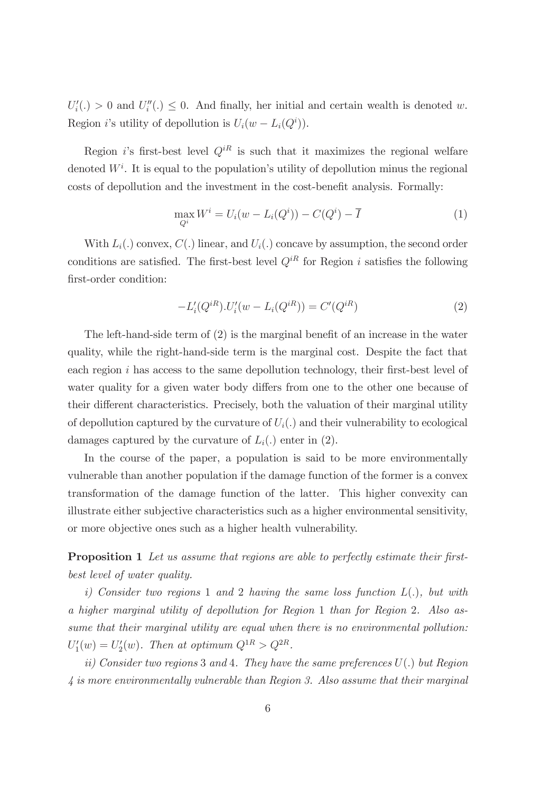$U_i'(\.) > 0$  and  $U_i''(\.) \leq 0$ . And finally, her initial and certain wealth is denoted w. Region *i*'s utility of depollution is  $U_i(w - L_i(Q^i))$ .

Region is first-best level  $Q^{iR}$  is such that it maximizes the regional welfare denoted  $W<sup>i</sup>$ . It is equal to the population's utility of depollution minus the regional costs of depollution and the investment in the cost-benefit analysis. Formally:

$$
\max_{Q^i} W^i = U_i(w - L_i(Q^i)) - C(Q^i) - \overline{I}
$$
\n(1)

With  $L_i(.)$  convex,  $C(.)$  linear, and  $U_i(.)$  concave by assumption, the second order conditions are satisfied. The first-best level  $Q^{iR}$  for Region i satisfies the following first-order condition:

$$
-L'_{i}(Q^{iR}).U'_{i}(w - L_{i}(Q^{iR})) = C'(Q^{iR})
$$
\n(2)

The left-hand-side term of  $(2)$  is the marginal benefit of an increase in the water quality, while the right-hand-side term is the marginal cost. Despite the fact that each region  $i$  has access to the same depollution technology, their first-best level of water quality for a given water body differs from one to the other one because of their different characteristics. Precisely, both the valuation of their marginal utility of depollution captured by the curvature of  $U_i(.)$  and their vulnerability to ecological damages captured by the curvature of  $L_i(.)$  enter in (2).

In the course of the paper, a population is said to be more environmentally vulnerable than another population if the damage function of the former is a convex transformation of the damage function of the latter. This higher convexity can illustrate either subjective characteristics such as a higher environmental sensitivity, or more objective ones such as a higher health vulnerability.

**Proposition 1** Let us assume that regions are able to perfectly estimate their firstbest level of water quality.

i) Consider two regions 1 and 2 having the same loss function  $L(.)$ , but with a higher marginal utility of depollution for Region 1 than for Region 2. Also assume that their marginal utility are equal when there is no environmental pollution:  $U_1'(w) = U_2'(w)$ . Then at optimum  $Q^{1R} > Q^{2R}$ .

ii) Consider two regions 3 and 4. They have the same preferences  $U(.)$  but Region 4 is more environmentally vulnerable than Region 3. Also assume that their marginal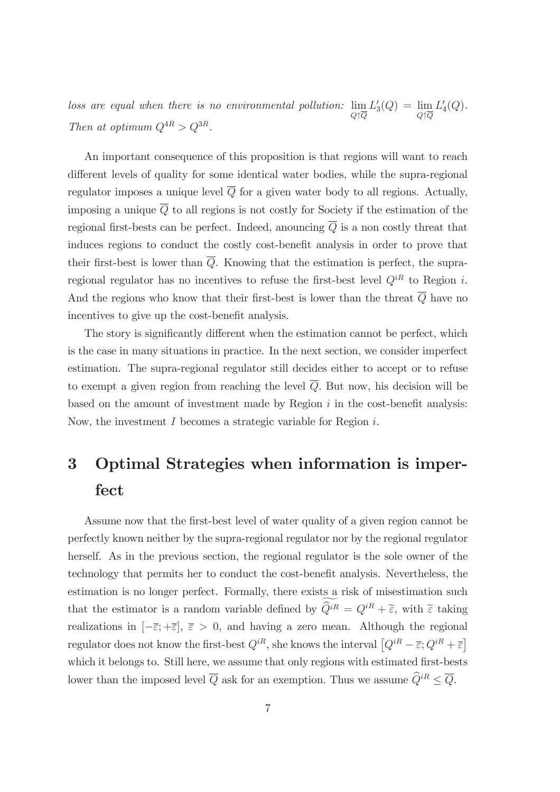loss are equal when there is no environmental pollution:  $\lim_{Q \uparrow \overline{Q}}$  $L'_3(Q) = \lim_{Q \uparrow \overline{Q}}$  $L'_4(Q)$ . Then at optimum  $Q^{4R} > Q^{3R}$ .

An important consequence of this proposition is that regions will want to reach different levels of quality for some identical water bodies, while the supra-regional regulator imposes a unique level  $\overline{Q}$  for a given water body to all regions. Actually, imposing a unique  $\overline{Q}$  to all regions is not costly for Society if the estimation of the regional first-bests can be perfect. Indeed, anouncing  $\overline{Q}$  is a non costly threat that induces regions to conduct the costly cost-benefit analysis in order to prove that their first-best is lower than  $\overline{Q}$ . Knowing that the estimation is perfect, the supraregional regulator has no incentives to refuse the first-best level  $Q^{iR}$  to Region i. And the regions who know that their first-best is lower than the threat  $\overline{Q}$  have no incentives to give up the cost-benefit analysis.

The story is significantly different when the estimation cannot be perfect, which is the case in many situations in practice. In the next section, we consider imperfect estimation. The supra-regional regulator still decides either to accept or to refuse to exempt a given region from reaching the level  $\overline{Q}$ . But now, his decision will be based on the amount of investment made by Region  $i$  in the cost-benefit analysis: Now, the investment I becomes a strategic variable for Region i.

# 3 Optimal Strategies when information is imperfect

Assume now that the first-best level of water quality of a given region cannot be perfectly known neither by the supra-regional regulator nor by the regional regulator herself. As in the previous section, the regional regulator is the sole owner of the technology that permits her to conduct the cost-benefit analysis. Nevertheless, the estimation is no longer perfect. Formally, there exists a risk of misestimation such that the estimator is a random variable defined by  $\widehat{Q}^{iR} = Q^{iR} + \widetilde{\epsilon}$ , with  $\widetilde{\epsilon}$  taking realizations in  $[-\overline{\varepsilon}; +\overline{\varepsilon}]$ ,  $\overline{\varepsilon} > 0$ , and having a zero mean. Although the regional regulator does not know the first-best  $Q^{iR}$ , she knows the interval  $[Q^{iR} - \overline{\varepsilon}; Q^{iR} + \overline{\varepsilon}]$ which it belongs to. Still here, we assume that only regions with estimated first-bests lower than the imposed level  $\overline{Q}$  ask for an exemption. Thus we assume  $\widehat{Q}^{iR} \leq \overline{Q}$ .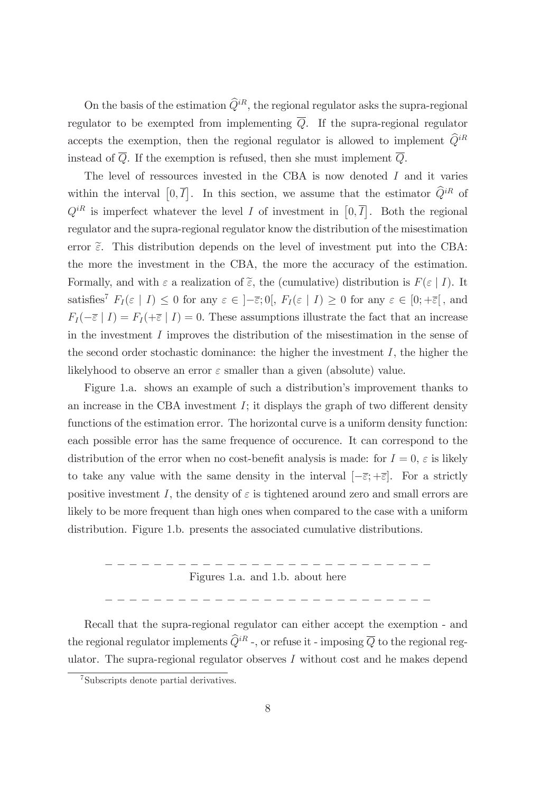On the basis of the estimation  $\widehat{Q}^{iR}$ , the regional regulator asks the supra-regional regulator to be exempted from implementing  $\overline{Q}$ . If the supra-regional regulator accepts the exemption, then the regional regulator is allowed to implement  $\widehat{Q}^{iR}$ instead of  $\overline{Q}$ . If the exemption is refused, then she must implement  $\overline{Q}$ .

The level of ressources invested in the CBA is now denoted I and it varies within the interval  $[0,\overline{I}]$ . In this section, we assume that the estimator  $\widehat{Q}^{iR}$  of  $Q^{iR}$  is imperfect whatever the level I of investment in  $[0, \overline{I}]$ . Both the regional regulator and the supra-regional regulator know the distribution of the misestimation error  $\tilde{\epsilon}$ . This distribution depends on the level of investment put into the CBA: the more the investment in the CBA, the more the accuracy of the estimation. Formally, and with  $\varepsilon$  a realization of  $\tilde{\varepsilon}$ , the (cumulative) distribution is  $F(\varepsilon | I)$ . It satisfies<sup>7</sup>  $F_I(\varepsilon | I) \leq 0$  for any  $\varepsilon \in [-\overline{\varepsilon}; 0], F_I(\varepsilon | I) \geq 0$  for any  $\varepsilon \in [0; +\overline{\varepsilon}]$ , and  $F_I(-\overline{\varepsilon} \mid I) = F_I(+\overline{\varepsilon} \mid I) = 0.$  These assumptions illustrate the fact that an increase in the investment I improves the distribution of the misestimation in the sense of the second order stochastic dominance: the higher the investment  $I$ , the higher the likelyhood to observe an error  $\varepsilon$  smaller than a given (absolute) value.

Figure 1.a. shows an example of such a distribution's improvement thanks to an increase in the CBA investment  $I$ ; it displays the graph of two different density functions of the estimation error. The horizontal curve is a uniform density function: each possible error has the same frequence of occurence. It can correspond to the distribution of the error when no cost-benefit analysis is made: for  $I = 0$ ,  $\varepsilon$  is likely to take any value with the same density in the interval  $[-\overline{\varepsilon}; +\overline{\varepsilon}]$ . For a strictly positive investment I, the density of  $\varepsilon$  is tightened around zero and small errors are likely to be more frequent than high ones when compared to the case with a uniform distribution. Figure 1.b. presents the associated cumulative distributions.

\_ \_ \_ \_ \_ \_ \_ \_ \_ \_ \_ \_ \_ \_ \_ \_ \_ \_ \_ \_ \_ \_ \_ \_ \_ \_ \_ Figures 1.a. and 1.b. about here

\_ \_ \_ \_ \_ \_ \_ \_ \_ \_ \_ \_ \_ \_ \_ \_ \_ \_ \_ \_ \_ \_ \_ \_ \_ \_ \_

Recall that the supra-regional regulator can either accept the exemption - and the regional regulator implements  $\widehat{Q}^{iR}$  -, or refuse it - imposing  $\overline{Q}$  to the regional regulator. The supra-regional regulator observes  $I$  without cost and he makes depend

<sup>7</sup>Subscripts denote partial derivatives.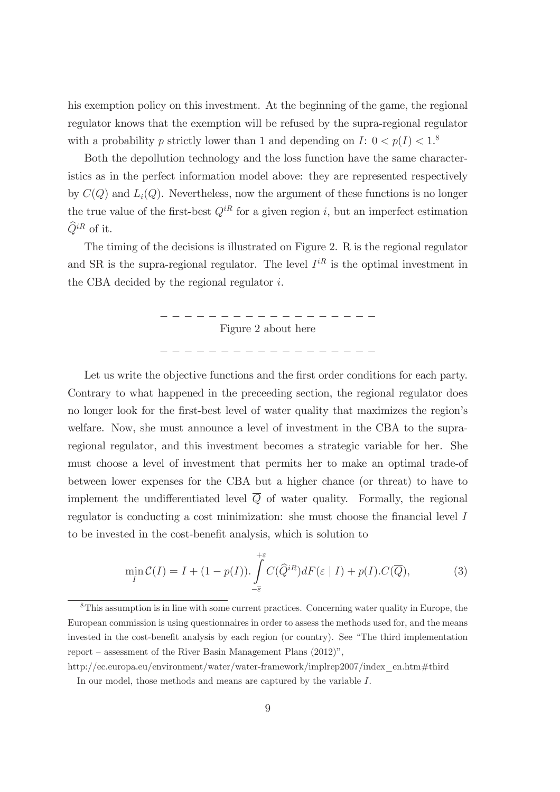his exemption policy on this investment. At the beginning of the game, the regional regulator knows that the exemption will be refused by the supra-regional regulator with a probability p strictly lower than 1 and depending on  $I: 0 < p(I) < 1$ <sup>8</sup>

Both the depollution technology and the loss function have the same characteristics as in the perfect information model above: they are represented respectively by  $C(Q)$  and  $L<sub>i</sub>(Q)$ . Nevertheless, now the argument of these functions is no longer the true value of the first-best  $Q^{iR}$  for a given region i, but an imperfect estimation  $\widehat{Q}^{iR}$  of it.

The timing of the decisions is illustrated on Figure 2. R is the regional regulator and SR is the supra-regional regulator. The level  $I^{iR}$  is the optimal investment in the CBA decided by the regional regulator i.



Let us write the objective functions and the first order conditions for each party. Contrary to what happened in the preceeding section, the regional regulator does no longer look for the first-best level of water quality that maximizes the region's welfare. Now, she must announce a level of investment in the CBA to the supraregional regulator, and this investment becomes a strategic variable for her. She must choose a level of investment that permits her to make an optimal trade-of between lower expenses for the CBA but a higher chance (or threat) to have to implement the undifferentiated level  $\overline{Q}$  of water quality. Formally, the regional regulator is conducting a cost minimization: she must choose the financial level  $I$ to be invested in the cost-benefit analysis, which is solution to

$$
\min_{I} \mathcal{C}(I) = I + (1 - p(I)). \int_{-\overline{\varepsilon}}^{+\overline{\varepsilon}} C(\widehat{Q}^{iR}) dF(\varepsilon | I) + p(I). C(\overline{Q}), \tag{3}
$$

<sup>8</sup>This assumption is in line with some current practices. Concerning water quality in Europe, the European commission is using questionnaires in order to assess the methods used for, and the means invested in the cost-benefit analysis by each region (or country). See "The third implementation report  $-$  assessment of the River Basin Management Plans  $(2012)$ ",

http://ec.europa.eu/environment/water/water-framework/implrep2007/index\_en.htm#third In our model, those methods and means are captured by the variable  $I$ .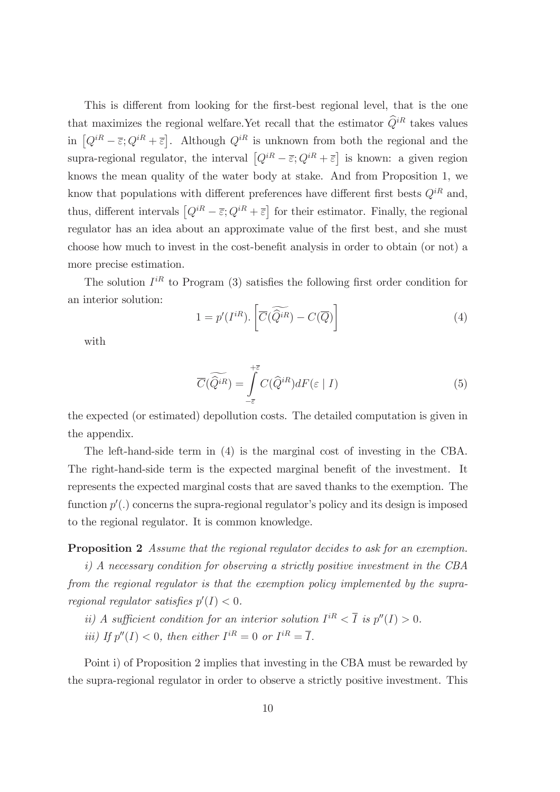This is different from looking for the first-best regional level, that is the one that maximizes the regional welfare. Yet recall that the estimator  $\widehat{Q}^{iR}$  takes values in  $[Q^{iR} - \overline{\varepsilon}; Q^{iR} + \overline{\varepsilon}]$ . Although  $Q^{iR}$  is unknown from both the regional and the supra-regional regulator, the interval  $[Q^{iR} - \overline{\varepsilon}; Q^{iR} + \overline{\varepsilon}]$  is known: a given region knows the mean quality of the water body at stake. And from Proposition 1, we know that populations with different preferences have different first bests  $Q^{iR}$  and, thus, different intervals  $[Q^{iR} - \overline{\varepsilon}; Q^{iR} + \overline{\varepsilon}]$  for their estimator. Finally, the regional regulator has an idea about an approximate value of the first best, and she must choose how much to invest in the cost-benefit analysis in order to obtain (or not) a more precise estimation.

The solution  $I^{iR}$  to Program (3) satisfies the following first order condition for an interior solution:

$$
1 = p'(I^{iR}). \left[ \overline{C}(\widetilde{Q}^{iR}) - C(\overline{Q}) \right]
$$
 (4)

with

$$
\overline{C}(\widetilde{Q}^{iR}) = \int\limits_{-\overline{\varepsilon}}^{+\overline{\varepsilon}} C(\widehat{Q}^{iR}) dF(\varepsilon | I)
$$
\n(5)

the expected (or estimated) depollution costs. The detailed computation is given in the appendix.

The left-hand-side term in (4) is the marginal cost of investing in the CBA. The right-hand-side term is the expected marginal benefit of the investment. It represents the expected marginal costs that are saved thanks to the exemption. The function  $p'$ .) concerns the supra-regional regulator's policy and its design is imposed to the regional regulator. It is common knowledge.

Proposition 2 Assume that the regional regulator decides to ask for an exemption.

i) A necessary condition for observing a strictly positive investment in the CBA from the regional regulator is that the exemption policy implemented by the supraregional regulator satisfies  $p'(I) < 0$ .

ii) A sufficient condition for an interior solution  $I^{iR} < \overline{I}$  is  $p''(I) > 0$ .

*iii*) If  $p''(I) < 0$ , then either  $I^{iR} = 0$  or  $I^{iR} = \overline{I}$ .

Point i) of Proposition 2 implies that investing in the CBA must be rewarded by the supra-regional regulator in order to observe a strictly positive investment. This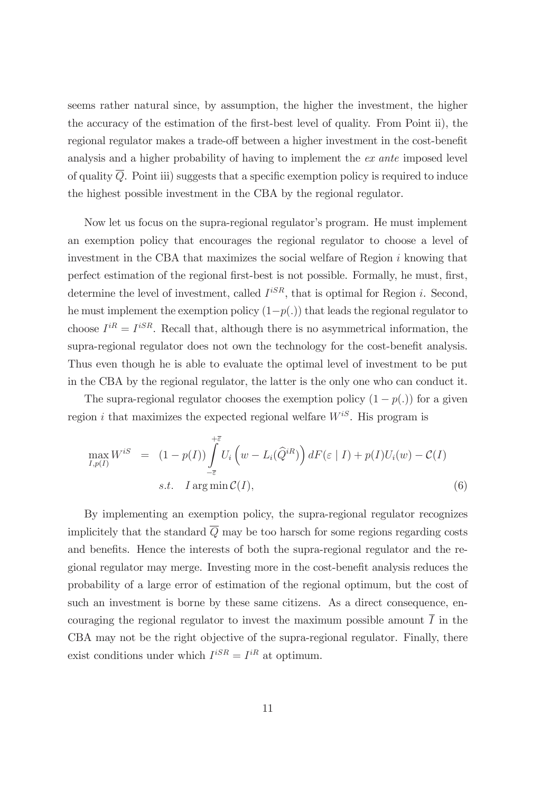seems rather natural since, by assumption, the higher the investment, the higher the accuracy of the estimation of the first-best level of quality. From Point ii), the regional regulator makes a trade-off between a higher investment in the cost-benefit analysis and a higher probability of having to implement the ex ante imposed level of quality  $\overline{Q}$ . Point iii) suggests that a specific exemption policy is required to induce the highest possible investment in the CBA by the regional regulator.

Now let us focus on the supra-regional regulator's program. He must implement an exemption policy that encourages the regional regulator to choose a level of investment in the CBA that maximizes the social welfare of Region i knowing that perfect estimation of the regional first-best is not possible. Formally, he must, first, determine the level of investment, called  $I^{iSR}$ , that is optimal for Region i. Second, he must implement the exemption policy  $(1-p(.)$  that leads the regional regulator to choose  $I^{iR} = I^{iSR}$ . Recall that, although there is no asymmetrical information, the supra-regional regulator does not own the technology for the cost-benefit analysis. Thus even though he is able to evaluate the optimal level of investment to be put in the CBA by the regional regulator, the latter is the only one who can conduct it.

The supra-regional regulator chooses the exemption policy  $(1 - p(.)$  for a given region i that maximizes the expected regional welfare  $W^{iS}$ . His program is

$$
\max_{I,p(I)} W^{iS} = (1 - p(I)) \int_{-\overline{\varepsilon}}^{+\overline{\varepsilon}} U_i \left( w - L_i(\widehat{Q}^{iR}) \right) dF(\varepsilon | I) + p(I)U_i(w) - C(I)
$$
  
s.t.  $I \arg \min_{I \in \mathcal{C}} C(I),$  (6)

By implementing an exemption policy, the supra-regional regulator recognizes implicitely that the standard  $\overline{Q}$  may be too harsch for some regions regarding costs and benefits. Hence the interests of both the supra-regional regulator and the regional regulator may merge. Investing more in the cost-benefit analysis reduces the probability of a large error of estimation of the regional optimum, but the cost of such an investment is borne by these same citizens. As a direct consequence, encouraging the regional regulator to invest the maximum possible amount  $\overline{I}$  in the CBA may not be the right objective of the supra-regional regulator. Finally, there exist conditions under which  $I^{iSR} = I^{iR}$  at optimum.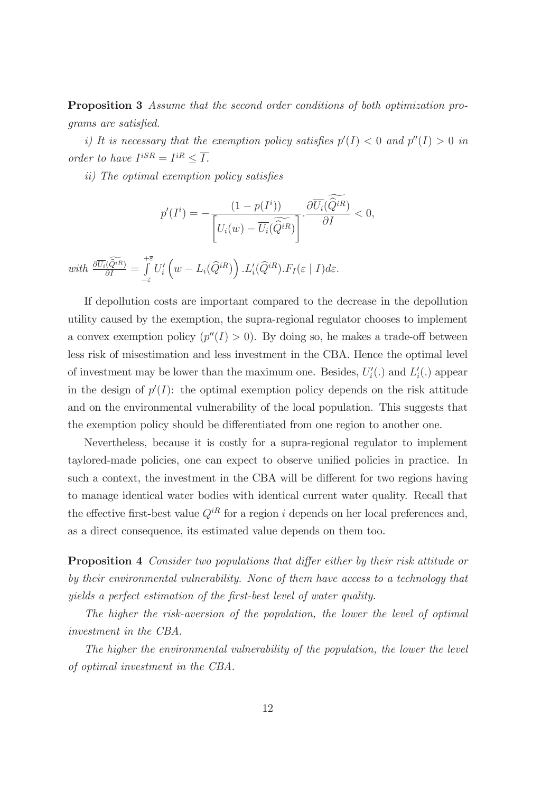Proposition 3 Assume that the second order conditions of both optimization programs are satisfied.

i) It is necessary that the exemption policy satisfies  $p'(I) < 0$  and  $p''(I) > 0$  in order to have  $I^{iSR} = I^{iR} \leq \overline{I}$ .

ii) The optimal exemption policy satisfies

$$
p'(I^i) = -\frac{(1 - p(I^i))}{\left[U_i(w) - \overline{U_i}(\widehat{Q}^{iR})\right]} \cdot \frac{\partial \overline{U_i}(\widehat{Q}^{iR})}{\partial I} < 0,
$$

with  $\frac{\partial \overline{U_i}(\widehat{Q}^{iR})}{\partial I}$  =  $+\bar{\varepsilon}$  $-\overline{\varepsilon}$  $U_i'$  $\left(w - L_i(\widehat{Q}^{iR})\right)$ . $L'_i(\widehat{Q}^{iR})$ . $F_I(\varepsilon | I)$ d $\varepsilon$ .

If depollution costs are important compared to the decrease in the depollution utility caused by the exemption, the supra-regional regulator chooses to implement a convex exemption policy  $(p''(I) > 0)$ . By doing so, he makes a trade-off between less risk of misestimation and less investment in the CBA. Hence the optimal level of investment may be lower than the maximum one. Besides,  $U_i'(.)$  and  $L_i'(.)$  appear in the design of  $p'(I)$ : the optimal exemption policy depends on the risk attitude and on the environmental vulnerability of the local population. This suggests that the exemption policy should be differentiated from one region to another one.

Nevertheless, because it is costly for a supra-regional regulator to implement taylored-made policies, one can expect to observe unified policies in practice. In such a context, the investment in the CBA will be different for two regions having to manage identical water bodies with identical current water quality. Recall that the effective first-best value  $Q^{iR}$  for a region i depends on her local preferences and, as a direct consequence, its estimated value depends on them too.

Proposition 4 Consider two populations that differ either by their risk attitude or by their environmental vulnerability. None of them have access to a technology that yields a perfect estimation of the first-best level of water quality.

The higher the risk-aversion of the population, the lower the level of optimal investment in the CBA.

The higher the environmental vulnerability of the population, the lower the level of optimal investment in the CBA.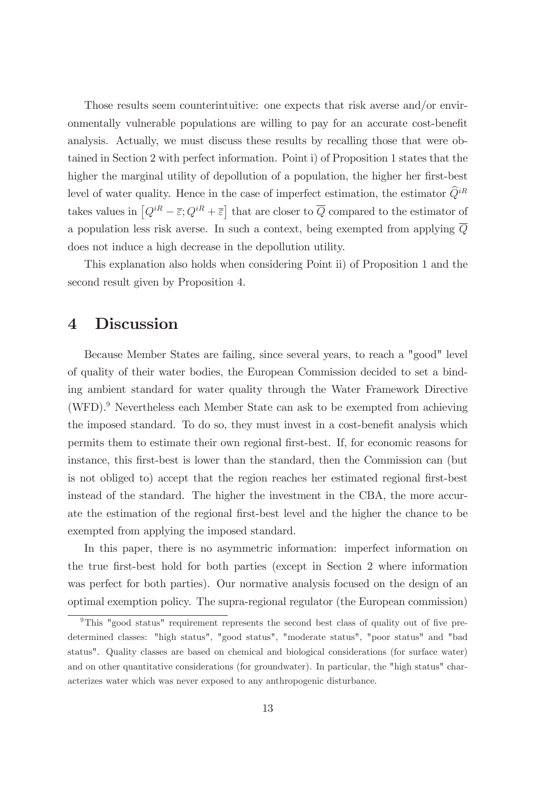Those results seem counterintuitive: one expects that risk averse and/or environmentally vulnerable populations are willing to pay for an accurate cost-beneÖt analysis. Actually, we must discuss these results by recalling those that were obtained in Section 2 with perfect information. Point i) of Proposition 1 states that the higher the marginal utility of depollution of a population, the higher her first-best level of water quality. Hence in the case of imperfect estimation, the estimator  $\widehat{Q}^{iR}$ takes values in  $[Q^{iR} - \overline{\varepsilon}; Q^{iR} + \overline{\varepsilon}]$  that are closer to  $\overline{Q}$  compared to the estimator of a population less risk averse. In such a context, being exempted from applying Q does not induce a high decrease in the depollution utility.

This explanation also holds when considering Point ii) of Proposition 1 and the second result given by Proposition 4.

### 4 Discussion

Because Member States are failing, since several years, to reach a "good" level of quality of their water bodies, the European Commission decided to set a binding ambient standard for water quality through the Water Framework Directive  $(WFD)$ .<sup>9</sup> Nevertheless each Member State can ask to be exempted from achieving the imposed standard. To do so, they must invest in a cost-benefit analysis which permits them to estimate their own regional Örst-best. If, for economic reasons for instance, this first-best is lower than the standard, then the Commission can (but is not obliged to) accept that the region reaches her estimated regional first-best instead of the standard. The higher the investment in the CBA, the more accurate the estimation of the regional Örst-best level and the higher the chance to be exempted from applying the imposed standard.

In this paper, there is no asymmetric information: imperfect information on the true Örst-best hold for both parties (except in Section 2 where information was perfect for both parties). Our normative analysis focused on the design of an optimal exemption policy. The supra-regional regulator (the European commission)

 $9$ This "good status" requirement represents the second best class of quality out of five predetermined classes: "high status", "good status", "moderate status", "poor status" and "bad status". Quality classes are based on chemical and biological considerations (for surface water) and on other quantitative considerations (for groundwater). In particular, the "high status" characterizes water which was never exposed to any anthropogenic disturbance.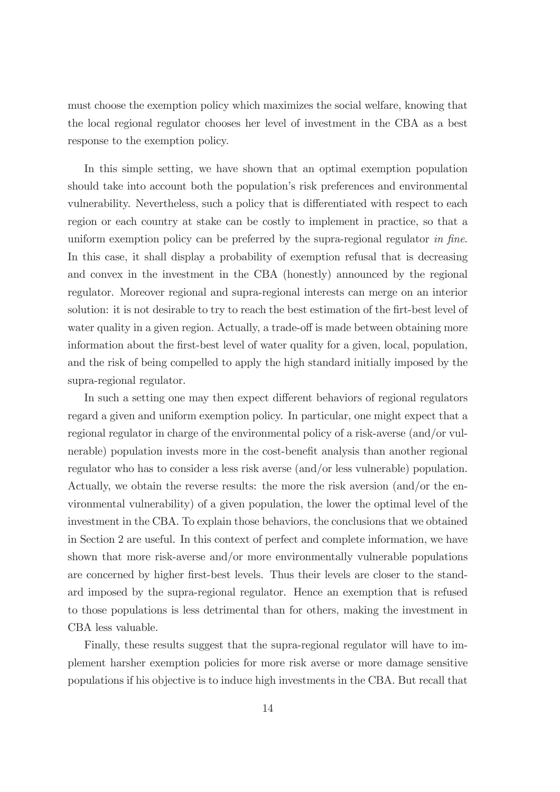must choose the exemption policy which maximizes the social welfare, knowing that the local regional regulator chooses her level of investment in the CBA as a best response to the exemption policy.

In this simple setting, we have shown that an optimal exemption population should take into account both the population's risk preferences and environmental vulnerability. Nevertheless, such a policy that is differentiated with respect to each region or each country at stake can be costly to implement in practice, so that a uniform exemption policy can be preferred by the supra-regional regulator in fine. In this case, it shall display a probability of exemption refusal that is decreasing and convex in the investment in the CBA (honestly) announced by the regional regulator. Moreover regional and supra-regional interests can merge on an interior solution: it is not desirable to try to reach the best estimation of the firt-best level of water quality in a given region. Actually, a trade-off is made between obtaining more information about the first-best level of water quality for a given, local, population, and the risk of being compelled to apply the high standard initially imposed by the supra-regional regulator.

In such a setting one may then expect different behaviors of regional regulators regard a given and uniform exemption policy. In particular, one might expect that a regional regulator in charge of the environmental policy of a risk-averse (and/or vulnerable) population invests more in the cost-benefit analysis than another regional regulator who has to consider a less risk averse (and/or less vulnerable) population. Actually, we obtain the reverse results: the more the risk aversion (and/or the environmental vulnerability) of a given population, the lower the optimal level of the investment in the CBA. To explain those behaviors, the conclusions that we obtained in Section 2 are useful. In this context of perfect and complete information, we have shown that more risk-averse and/or more environmentally vulnerable populations are concerned by higher first-best levels. Thus their levels are closer to the standard imposed by the supra-regional regulator. Hence an exemption that is refused to those populations is less detrimental than for others, making the investment in CBA less valuable.

Finally, these results suggest that the supra-regional regulator will have to implement harsher exemption policies for more risk averse or more damage sensitive populations if his objective is to induce high investments in the CBA. But recall that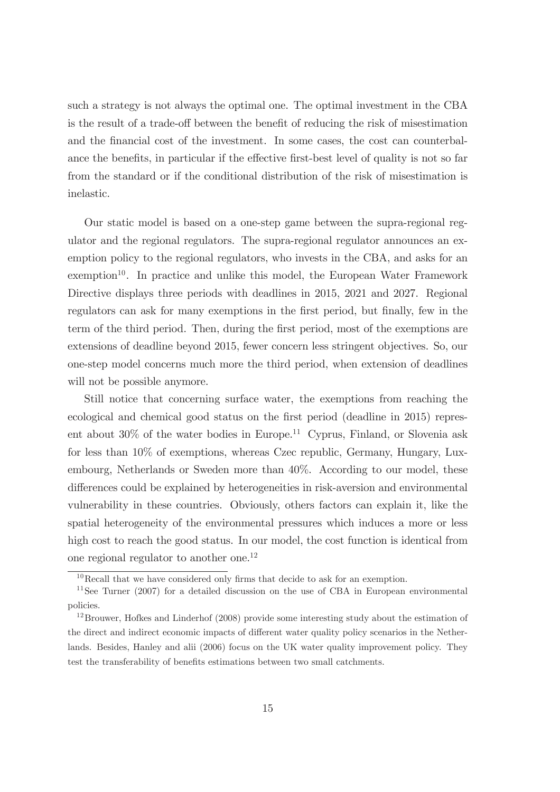such a strategy is not always the optimal one. The optimal investment in the CBA is the result of a trade-off between the benefit of reducing the risk of misestimation and the financial cost of the investment. In some cases, the cost can counterbalance the benefits, in particular if the effective first-best level of quality is not so far from the standard or if the conditional distribution of the risk of misestimation is inelastic.

Our static model is based on a one-step game between the supra-regional regulator and the regional regulators. The supra-regional regulator announces an exemption policy to the regional regulators, who invests in the CBA, and asks for an  $exemption<sup>10</sup>$ . In practice and unlike this model, the European Water Framework Directive displays three periods with deadlines in 2015, 2021 and 2027. Regional regulators can ask for many exemptions in the first period, but finally, few in the term of the third period. Then, during the first period, most of the exemptions are extensions of deadline beyond 2015, fewer concern less stringent objectives. So, our one-step model concerns much more the third period, when extension of deadlines will not be possible anymore.

Still notice that concerning surface water, the exemptions from reaching the ecological and chemical good status on the first period (deadline in 2015) represent about  $30\%$  of the water bodies in Europe.<sup>11</sup> Cyprus, Finland, or Slovenia ask for less than 10% of exemptions, whereas Czec republic, Germany, Hungary, Luxembourg, Netherlands or Sweden more than 40%. According to our model, these differences could be explained by heterogeneities in risk-aversion and environmental vulnerability in these countries. Obviously, others factors can explain it, like the spatial heterogeneity of the environmental pressures which induces a more or less high cost to reach the good status. In our model, the cost function is identical from one regional regulator to another one.<sup>12</sup>

 $10$ Recall that we have considered only firms that decide to ask for an exemption.

<sup>&</sup>lt;sup>11</sup>See Turner (2007) for a detailed discussion on the use of CBA in European environmental policies.

<sup>&</sup>lt;sup>12</sup>Brouwer, Hofkes and Linderhof (2008) provide some interesting study about the estimation of the direct and indirect economic impacts of different water quality policy scenarios in the Netherlands. Besides, Hanley and alii (2006) focus on the UK water quality improvement policy. They test the transferability of benefits estimations between two small catchments.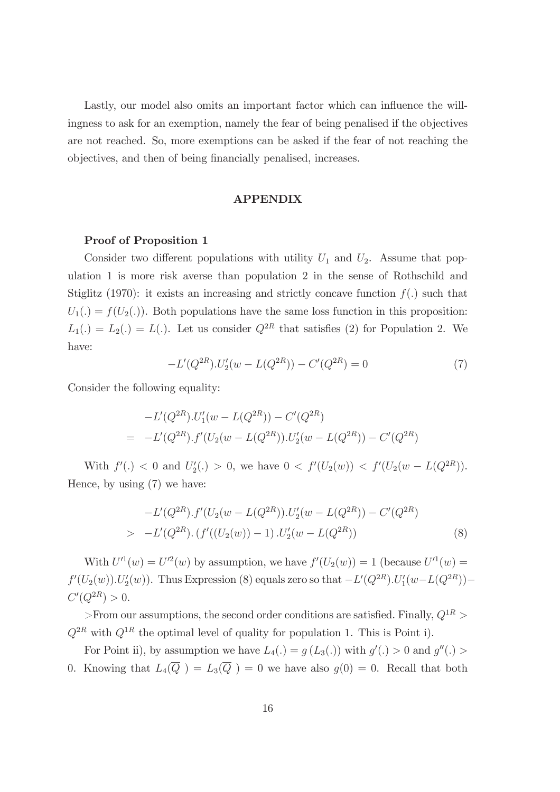Lastly, our model also omits an important factor which can influence the willingness to ask for an exemption, namely the fear of being penalised if the objectives are not reached. So, more exemptions can be asked if the fear of not reaching the objectives, and then of being financially penalised, increases.

#### APPENDIX

#### Proof of Proposition 1

Consider two different populations with utility  $U_1$  and  $U_2$ . Assume that population 1 is more risk averse than population 2 in the sense of Rothschild and Stiglitz (1970): it exists an increasing and strictly concave function  $f(.)$  such that  $U_1(.) = f(U_2(.))$ . Both populations have the same loss function in this proposition:  $L_1(.) = L_2(.) = L(.)$ . Let us consider  $Q^{2R}$  that satisfies (2) for Population 2. We have:

$$
-L'(Q^{2R}).U_2'(w - L(Q^{2R})) - C'(Q^{2R}) = 0
$$
\n(7)

Consider the following equality:

$$
-L'(Q^{2R}).U'_1(w - L(Q^{2R})) - C'(Q^{2R})
$$
  
= 
$$
-L'(Q^{2R}).f'(U_2(w - L(Q^{2R})).U'_2(w - L(Q^{2R})) - C'(Q^{2R})
$$

With  $f'(.) < 0$  and  $U'_2(.) > 0$ , we have  $0 < f'(U_2(w)) < f'(U_2(w - L(Q^{2R}))).$ Hence, by using (7) we have:

$$
-L'(Q^{2R}).f'(U_2(w - L(Q^{2R})).U'_2(w - L(Q^{2R})) - C'(Q^{2R})
$$
  
> 
$$
-L'(Q^{2R}).(f'((U_2(w)) - 1).U'_2(w - L(Q^{2R}))
$$
 (8)

With  $U''(w) = U'^2(w)$  by assumption, we have  $f'(U_2(w)) = 1$  (because  $U'^1(w) =$  $f'(U_2(w)). U'_2(w)$ . Thus Expression (8) equals zero so that  $-L'(Q^{2R}). U'_1(w-L(Q^{2R}))$  - $C'(Q^{2R}) > 0.$ 

>From our assumptions, the second order conditions are satisfied. Finally,  $Q^{1R}$  >  $Q^{2R}$  with  $Q^{1R}$  the optimal level of quality for population 1. This is Point i).

For Point ii), by assumption we have  $L_4(.) = g(L_3(.))$  with  $g'(.) > 0$  and  $g''(.) >$ 0. Knowing that  $L_4(\overline{Q}) = L_3(\overline{Q}) = 0$  we have also  $g(0) = 0$ . Recall that both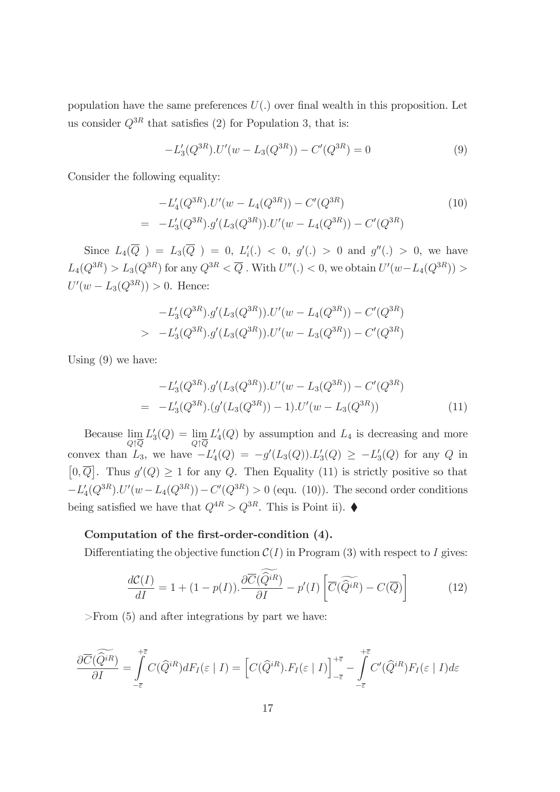population have the same preferences  $U(.)$  over final wealth in this proposition. Let us consider  $Q^{3R}$  that satisfies (2) for Population 3, that is:

$$
-L_3'(Q^{3R}).U'(w - L_3(Q^{3R})) - C'(Q^{3R}) = 0
$$
\n(9)

Consider the following equality:

$$
-L'_{4}(Q^{3R}).U'(w - L_{4}(Q^{3R})) - C'(Q^{3R})
$$
\n
$$
= -L'_{3}(Q^{3R}).g'(L_{3}(Q^{3R})).U'(w - L_{4}(Q^{3R})) - C'(Q^{3R})
$$
\n(10)

Since  $L_4(\overline{Q}) = L_3(\overline{Q}) = 0, L'_i(.) < 0, g'(.) > 0$  and  $g''(.) > 0$ , we have  $L_4(Q^{3R}) > L_3(Q^{3R})$  for any  $Q^{3R} < \overline{Q}$ . With  $U''(.) < 0$ , we obtain  $U'(w - L_4(Q^{3R})) >$  $U'(w - L_3(Q^{3R})) > 0.$  Hence:

$$
-L'_{3}(Q^{3R}).g'(L_{3}(Q^{3R})).U'(w - L_{4}(Q^{3R})) - C'(Q^{3R})
$$
  
> 
$$
-L'_{3}(Q^{3R}).g'(L_{3}(Q^{3R})).U'(w - L_{3}(Q^{3R})) - C'(Q^{3R})
$$

Using (9) we have:

$$
-L'_{3}(Q^{3R}).g'(L_{3}(Q^{3R})).U'(w - L_{3}(Q^{3R})) - C'(Q^{3R})
$$
  
= 
$$
-L'_{3}(Q^{3R}).(g'(L_{3}(Q^{3R}))-1).U'(w - L_{3}(Q^{3R}))
$$
 (11)

Because  $\lim_{Q \uparrow \overline{Q}}$  $L'_3(Q) = \lim_{Q \uparrow \overline{Q}}$  $L_4(Q)$  by assumption and  $L_4$  is decreasing and more convex than  $L_3$ , we have  $-L'_4(Q) = -g'(L_3(Q)).L'_3(Q) \ge -L'_3(Q)$  for any Q in  $[0,\overline{Q}]$ . Thus  $g'(Q) \geq 1$  for any Q. Then Equality (11) is strictly positive so that  $-L'_{4}(Q^{3R}).U'(w-L_{4}(Q^{3R})) - C'(Q^{3R}) > 0$  (equ. (10)). The second order conditions being satisfied we have that  $Q^{4R} > Q^{3R}$ . This is Point ii).

#### Computation of the first-order-condition (4).

Differentiating the objective function  $\mathcal{C}(I)$  in Program (3) with respect to I gives:

$$
\frac{d\mathcal{C}(I)}{dI} = 1 + (1 - p(I)). \frac{\partial \overline{C}(\widehat{Q}^{iR})}{\partial I} - p'(I) \left[ \overline{C}(\widetilde{\widehat{Q}^{iR}}) - C(\overline{Q}) \right]
$$
(12)

>From (5) and after integrations by part we have:

$$
\frac{\partial \overline{C}(\widetilde{Q}^{iR})}{\partial I} = \int\limits_{-\overline{\varepsilon}}^{+\overline{\varepsilon}} C(\widehat{Q}^{iR}) dF_I(\varepsilon | I) = \left[ C(\widehat{Q}^{iR}).F_I(\varepsilon | I) \right]_{-\overline{\varepsilon}}^{+\overline{\varepsilon}} - \int\limits_{-\overline{\varepsilon}}^{+\overline{\varepsilon}} C'(\widehat{Q}^{iR}) F_I(\varepsilon | I) d\varepsilon
$$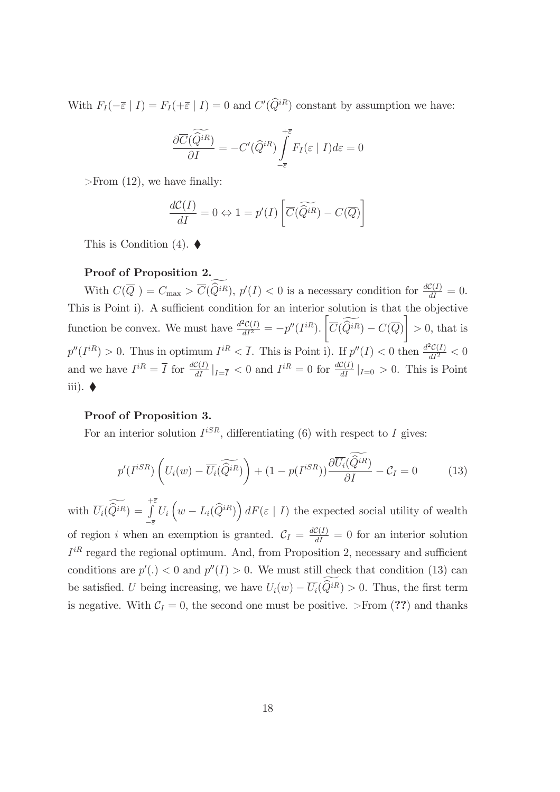With  $F_I(-\overline{\varepsilon} \mid I) = F_I(+\overline{\varepsilon} \mid I) = 0$  and  $C'(\hat{Q}^{iR})$  constant by assumption we have:

$$
\frac{\partial \overline{C}(\widetilde{Q}^{iR})}{\partial I} = -C'(\widehat{Q}^{iR}) \int\limits_{-\overline{\varepsilon}}^{+\overline{\varepsilon}} F_I(\varepsilon \mid I) d\varepsilon = 0
$$

>From  $(12)$ , we have finally:

$$
\frac{d\mathcal{C}(I)}{dI} = 0 \Leftrightarrow 1 = p'(I) \left[ \overline{C}(\widetilde{Q}^{iR}) - C(\overline{Q}) \right]
$$

This is Condition  $(4)$ .

#### Proof of Proposition 2.

With  $C(\overline{Q}) = C_{\text{max}} > \overline{C}(\widehat{Q}^{iR}), p'(I) < 0$  is a necessary condition for  $\frac{dC(I)}{dI} = 0$ . This is Point i). A sufficient condition for an interior solution is that the objective function be convex. We must have  $\frac{d^2C(I)}{dI^2} = -p''(I^{iR})$ .  $\sqrt{ }$  $\overline{C}(Q^{iR}) - C(\overline{Q})$  $\overline{\phantom{a}}$  $> 0$ , that is  $p''(I^{iR}) > 0$ . Thus in optimum  $I^{iR} < \overline{I}$ . This is Point i). If  $p''(I) < 0$  then  $\frac{d^2C(I)}{dI^2} < 0$ and we have  $I^{iR} = \overline{I}$  for  $\frac{dC(I)}{dI}|_{I=\overline{I}} < 0$  and  $I^{iR} = 0$  for  $\frac{dC(I)}{dI}|_{I=0} > 0$ . This is Point iii).  $\blacklozenge$ 

#### Proof of Proposition 3.

For an interior solution  $I^{iSR}$ , differentiating (6) with respect to I gives:

$$
p'(I^{iSR})\left(U_i(w) - \overline{U_i}(\widetilde{Q}^{iR})\right) + (1 - p(I^{iSR}))\frac{\partial \overline{U_i}(\widetilde{Q}^{iR})}{\partial I} - C_I = 0 \tag{13}
$$

with  $\overline{U_i}(\overline{Q}^{iR}) =$  $+\bar{\varepsilon}$  $-\overline{\varepsilon}$  $U_i\left(w - L_i(\widehat{Q}^{iR})\right)dF(\varepsilon \mid I)$  the expected social utility of wealth of region *i* when an exemption is granted.  $C_I = \frac{dC(I)}{dI} = 0$  for an interior solution  $I^{iR}$  regard the regional optimum. And, from Proposition 2, necessary and sufficient conditions are  $p'(.) < 0$  and  $p''(I) > 0$ . We must still check that condition (13) can be satisfied. U being increasing, we have  $U_i(w) - \overline{U_i}(\widetilde{Q}^{iR}) > 0$ . Thus, the first term is negative. With  $C_I = 0$ , the second one must be positive. >From (??) and thanks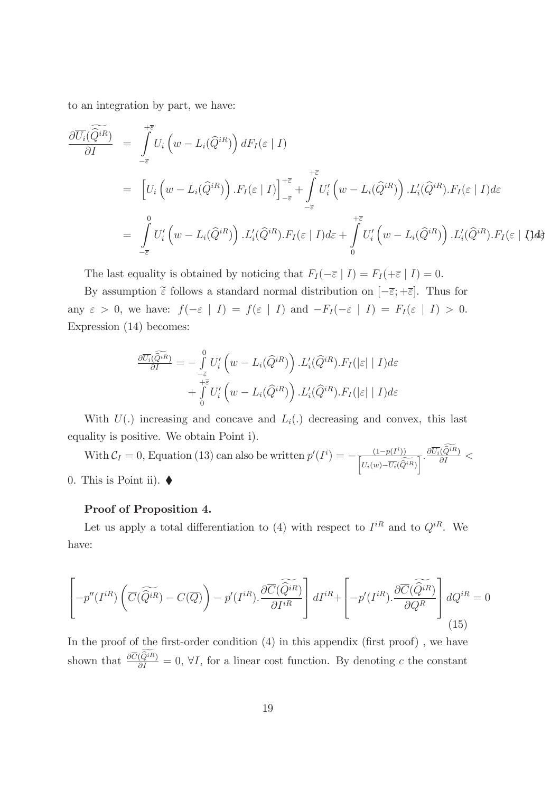to an integration by part, we have:

$$
\frac{\partial \overline{U_{i}}(\widetilde{Q^{iR}})}{\partial I} = \int_{-\overline{\varepsilon}}^{\overline{\varepsilon}} U_{i} \left( w - L_{i}(\widehat{Q}^{iR}) \right) dF_{I}(\varepsilon | I)
$$
\n
$$
= \left[ U_{i} \left( w - L_{i}(\widehat{Q}^{iR}) \right) . F_{I}(\varepsilon | I) \right]_{-\overline{\varepsilon}}^{\overline{\varepsilon}} + \int_{-\overline{\varepsilon}}^{\overline{\varepsilon}} U'_{i} \left( w - L_{i}(\widehat{Q}^{iR}) \right) . L'_{i}(\widehat{Q}^{iR}) . F_{I}(\varepsilon | I) d\varepsilon
$$
\n
$$
= \int_{-\overline{\varepsilon}}^{0} U'_{i} \left( w - L_{i}(\widehat{Q}^{iR}) \right) . L'_{i}(\widehat{Q}^{iR}) . F_{I}(\varepsilon | I) d\varepsilon + \int_{0}^{\overline{\varepsilon}} U'_{i} \left( w - L_{i}(\widehat{Q}^{iR}) \right) . L'_{i}(\widehat{Q}^{iR}) . F_{I}(\varepsilon | I) d\varepsilon
$$

The last equality is obtained by noticing that  $F_I(-\overline{\varepsilon} \mid I) = F_I(+\overline{\varepsilon} \mid I) = 0.$ 

By assumption  $\tilde{\epsilon}$  follows a standard normal distribution on  $[-\bar{\epsilon}; +\bar{\epsilon}]$ . Thus for any  $\varepsilon > 0$ , we have:  $f(-\varepsilon | I) = f(\varepsilon | I)$  and  $-F_I(-\varepsilon | I) = F_I(\varepsilon | I) > 0$ . Expression (14) becomes:

$$
\frac{\partial \overline{U_i}(\widehat{Q^{iR}})}{\partial I} = -\int\limits_{-\overline{\epsilon}}^0 U_i' \left( w - L_i(\widehat{Q}^{iR}) \right) . L'_i(\widehat{Q}^{iR}).F_I(|\epsilon| | I) d\varepsilon \n+ \int\limits_0^{+\overline{\epsilon}} U_i' \left( w - L_i(\widehat{Q}^{iR}) \right) . L'_i(\widehat{Q}^{iR}).F_I(|\epsilon| | I) d\varepsilon
$$

With  $U(.)$  increasing and concave and  $L<sub>i</sub>(.)$  decreasing and convex, this last equality is positive. We obtain Point i).

With  $C_I = 0$ , Equation (13) can also be written  $p'(I^i) = -\frac{(1-p(I^i))}{[U_i(w)-\overline{U_i}(\widehat{Q}^{iR})]}$  $\frac{\partial \overline{U_i}(\widehat{Q}^{iR})}{\partial I} <$ 0. This is Point ii).  $\blacklozenge$ 

#### Proof of Proposition 4.

Let us apply a total differentiation to (4) with respect to  $I^{iR}$  and to  $Q^{iR}$ . We have:

$$
\left[-p''(I^{iR})\left(\overline{C}(\widetilde{Q^{iR}}) - C(\overline{Q})\right) - p'(I^{iR}).\frac{\partial \overline{C}(\widetilde{Q^{iR}})}{\partial I^{iR}}\right]dI^{iR} + \left[-p'(I^{iR}).\frac{\partial \overline{C}(\widetilde{Q^{iR}})}{\partial Q^R}\right]dQ^{iR} = 0
$$
\n(15)

In the proof of the first-order condition  $(4)$  in this appendix (first proof), we have shown that  $\frac{\partial \overline{C}(\hat{Q}^{iR})}{\partial I} = 0$ ,  $\forall I$ , for a linear cost function. By denoting c the constant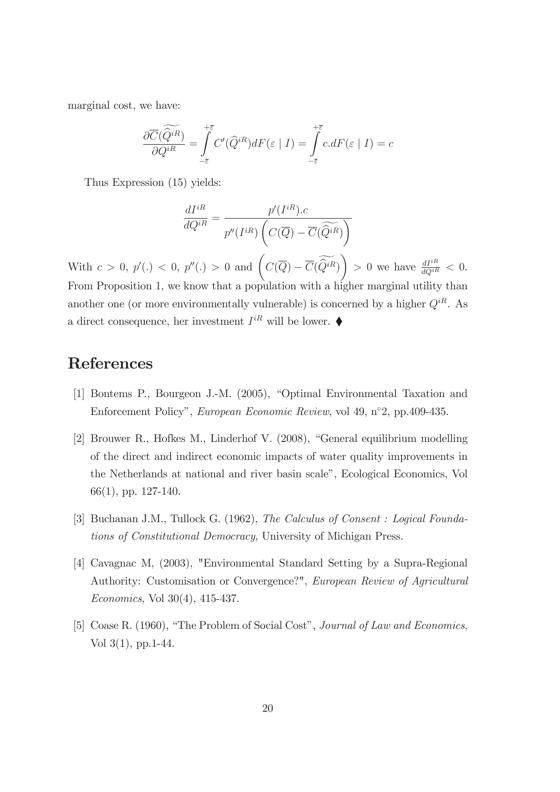marginal cost, we have:

$$
\frac{\partial \overline{C}(\widetilde{Q}^{iR})}{\partial Q^{iR}} = \int\limits_{-\overline{\varepsilon}}^{+\overline{\varepsilon}} C'(\widehat{Q}^{iR}) dF(\varepsilon | I) = \int\limits_{-\overline{\varepsilon}}^{+\overline{\varepsilon}} c.dF(\varepsilon | I) = c
$$

Thus Expression (15) yields:

$$
\frac{dI^{iR}}{dQ^{iR}} = \frac{p'(I^{iR}).c}{p''(I^{iR})\left(C(\overline{Q}) - \overline{C}(\widetilde{Q}^{iR})\right)}
$$

With  $c > 0$ ,  $p'(.) < 0$ ,  $p''(.) > 0$  and  $\left(C(\overline{Q}) - \overline{C}(\widetilde{Q}^{iR})\right)$ > 0 we have  $\frac{dI^{iR}}{dQ^{iR}} < 0$ . From Proposition 1, we know that a population with a higher marginal utility than another one (or more environmentally vulnerable) is concerned by a higher  $Q^{iR}$ . As a direct consequence, her investment  $I^{iR}$  will be lower.  $\blacklozenge$ 

## References

- [1] Bontems P., Bourgeon J.-M. (2005), "Optimal Environmental Taxation and Enforcement Policy", European Economic Review, vol 49, n°2, pp.409-435.
- [2] Brouwer R., Hofkes M., Linderhof V.  $(2008)$ , "General equilibrium modelling of the direct and indirect economic impacts of water quality improvements in the Netherlands at national and river basin scale", Ecological Economics, Vol 66(1), pp. 127-140.
- [3] Buchanan J.M., Tullock G. (1962), The Calculus of Consent : Logical Foundations of Constitutional Democracy, University of Michigan Press.
- [4] Cavagnac M, (2003), "Environmental Standard Setting by a Supra-Regional Authority: Customisation or Convergence?", European Review of Agricultural Economics, Vol 30(4), 415-437.
- [5] Coase R. (1960), "The Problem of Social Cost", Journal of Law and Economics, Vol 3(1), pp.1-44.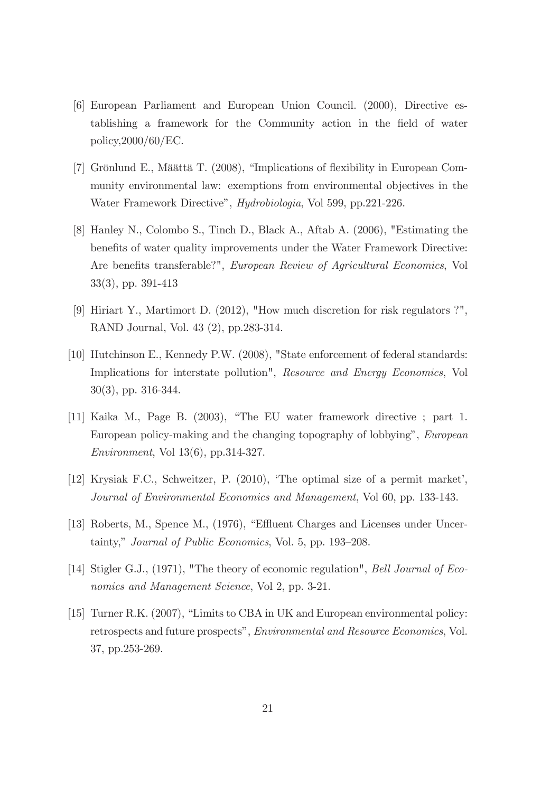- [6] European Parliament and European Union Council. (2000), Directive establishing a framework for the Community action in the field of water policy,2000/60/EC.
- [7] Grönlund E., Määttä T.  $(2008)$ , "Implications of flexibility in European Community environmental law: exemptions from environmental objectives in the Water Framework Directive", *Hydrobiologia*, Vol 599, pp.221-226.
- [8] Hanley N., Colombo S., Tinch D., Black A., Aftab A. (2006), "Estimating the benefits of water quality improvements under the Water Framework Directive: Are benefits transferable?", European Review of Agricultural Economics, Vol 33(3), pp. 391-413
- [9] Hiriart Y., Martimort D. (2012), "How much discretion for risk regulators ?", RAND Journal, Vol. 43 (2), pp.283-314.
- [10] Hutchinson E., Kennedy P.W. (2008), "State enforcement of federal standards: Implications for interstate pollution", Resource and Energy Economics, Vol 30(3), pp. 316-344.
- [11] Kaika M., Page B. (2003), "The EU water framework directive ; part 1. European policy-making and the changing topography of lobbyingî, European Environment, Vol 13(6), pp.314-327.
- [12] Krysiak F.C., Schweitzer, P. (2010), 'The optimal size of a permit market', Journal of Environmental Economics and Management, Vol 60, pp. 133-143.
- [13] Roberts, M., Spence M., (1976), "Effluent Charges and Licenses under Uncertainty," Journal of Public Economics, Vol. 5, pp. 193-208.
- [14] Stigler G.J., (1971), "The theory of economic regulation", Bell Journal of Economics and Management Science, Vol 2, pp. 3-21.
- [15] Turner R.K. (2007), "Limits to CBA in UK and European environmental policy: retrospects and future prospects", Environmental and Resource Economics, Vol. 37, pp.253-269.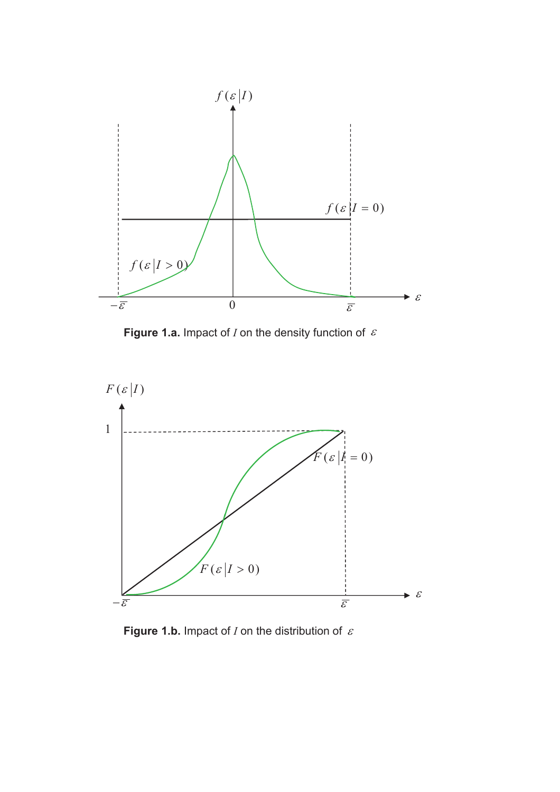

Figure 1.a. Impact of  $I$  on the density function of  $\epsilon$ 



Figure 1.b. Impact of  $I$  on the distribution of  $\varepsilon$